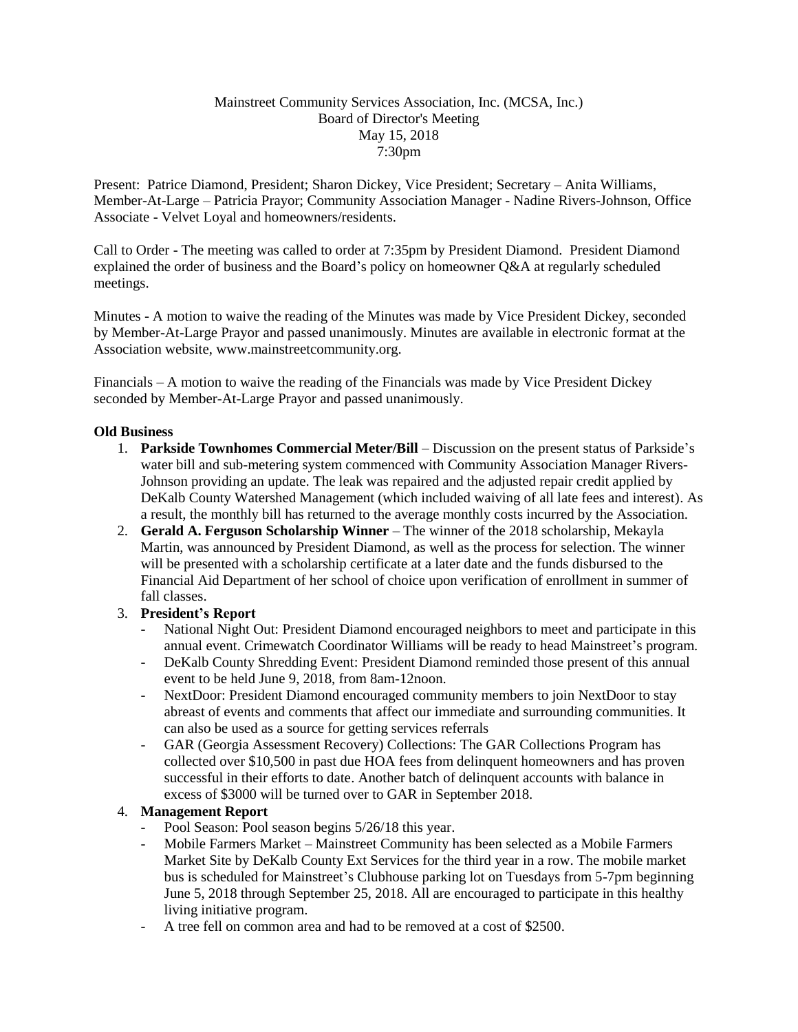## Mainstreet Community Services Association, Inc. (MCSA, Inc.) Board of Director's Meeting May 15, 2018 7:30pm

Present: Patrice Diamond, President; Sharon Dickey, Vice President; Secretary – Anita Williams, Member-At-Large – Patricia Prayor; Community Association Manager - Nadine Rivers-Johnson, Office Associate - Velvet Loyal and homeowners/residents.

Call to Order - The meeting was called to order at 7:35pm by President Diamond. President Diamond explained the order of business and the Board's policy on homeowner Q&A at regularly scheduled meetings.

Minutes - A motion to waive the reading of the Minutes was made by Vice President Dickey, seconded by Member-At-Large Prayor and passed unanimously. Minutes are available in electronic format at the Association website, www.mainstreetcommunity.org.

Financials – A motion to waive the reading of the Financials was made by Vice President Dickey seconded by Member-At-Large Prayor and passed unanimously.

## **Old Business**

- 1. **Parkside Townhomes Commercial Meter/Bill** Discussion on the present status of Parkside's water bill and sub-metering system commenced with Community Association Manager Rivers-Johnson providing an update. The leak was repaired and the adjusted repair credit applied by DeKalb County Watershed Management (which included waiving of all late fees and interest). As a result, the monthly bill has returned to the average monthly costs incurred by the Association.
- 2. **Gerald A. Ferguson Scholarship Winner** The winner of the 2018 scholarship, Mekayla Martin, was announced by President Diamond, as well as the process for selection. The winner will be presented with a scholarship certificate at a later date and the funds disbursed to the Financial Aid Department of her school of choice upon verification of enrollment in summer of fall classes.
- 3. **President's Report**
	- National Night Out: President Diamond encouraged neighbors to meet and participate in this annual event. Crimewatch Coordinator Williams will be ready to head Mainstreet's program.
	- DeKalb County Shredding Event: President Diamond reminded those present of this annual event to be held June 9, 2018, from 8am-12noon.
	- NextDoor: President Diamond encouraged community members to join NextDoor to stay abreast of events and comments that affect our immediate and surrounding communities. It can also be used as a source for getting services referrals
	- GAR (Georgia Assessment Recovery) Collections: The GAR Collections Program has collected over \$10,500 in past due HOA fees from delinquent homeowners and has proven successful in their efforts to date. Another batch of delinquent accounts with balance in excess of \$3000 will be turned over to GAR in September 2018.

## 4. **Management Report**

- Pool Season: Pool season begins  $5/26/18$  this year.
- Mobile Farmers Market Mainstreet Community has been selected as a Mobile Farmers Market Site by DeKalb County Ext Services for the third year in a row. The mobile market bus is scheduled for Mainstreet's Clubhouse parking lot on Tuesdays from 5-7pm beginning June 5, 2018 through September 25, 2018. All are encouraged to participate in this healthy living initiative program.
- A tree fell on common area and had to be removed at a cost of \$2500.